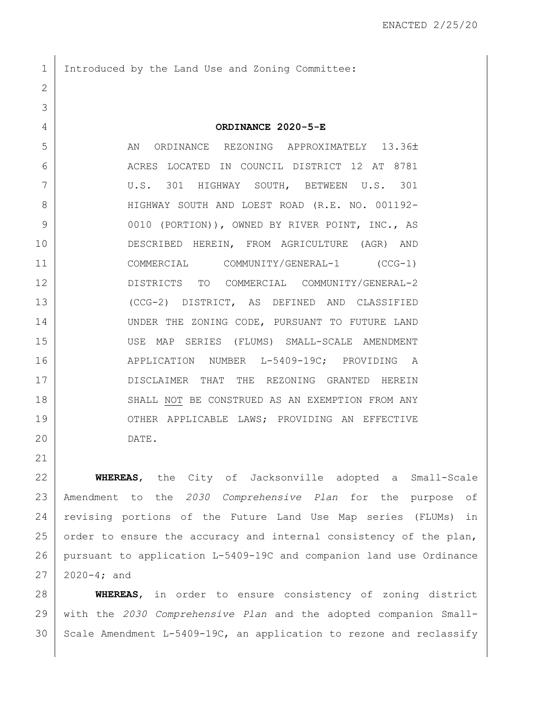1 Introduced by the Land Use and Zoning Committee:

**ORDINANCE 2020-5-E**

5 AN ORDINANCE REZONING APPROXIMATELY 13.36± ACRES LOCATED IN COUNCIL DISTRICT 12 AT 8781 U.S. 301 HIGHWAY SOUTH, BETWEEN U.S. 301 HIGHWAY SOUTH AND LOEST ROAD (R.E. NO. 001192- 9 0010 (PORTION)), OWNED BY RIVER POINT, INC., AS DESCRIBED HEREIN, FROM AGRICULTURE (AGR) AND COMMERCIAL COMMUNITY/GENERAL-1 (CCG-1) DISTRICTS TO COMMERCIAL COMMUNITY/GENERAL-2 (CCG-2) DISTRICT, AS DEFINED AND CLASSIFIED 14 UNDER THE ZONING CODE, PURSUANT TO FUTURE LAND USE MAP SERIES (FLUMS) SMALL-SCALE AMENDMENT 16 APPLICATION NUMBER L-5409-19C; PROVIDING A DISCLAIMER THAT THE REZONING GRANTED HEREIN 18 SHALL NOT BE CONSTRUED AS AN EXEMPTION FROM ANY 19 | OTHER APPLICABLE LAWS; PROVIDING AN EFFECTIVE DATE.

 **WHEREAS**, the City of Jacksonville adopted a Small-Scale Amendment to the *2030 Comprehensive Plan* for the purpose of revising portions of the Future Land Use Map series (FLUMs) in 25 order to ensure the accuracy and internal consistency of the plan, pursuant to application L-5409-19C and companion land use Ordinance  $27 \mid 2020 - 4;$  and

 **WHEREAS**, in order to ensure consistency of zoning district with the *2030 Comprehensive Plan* and the adopted companion Small-Scale Amendment L-5409-19C, an application to rezone and reclassify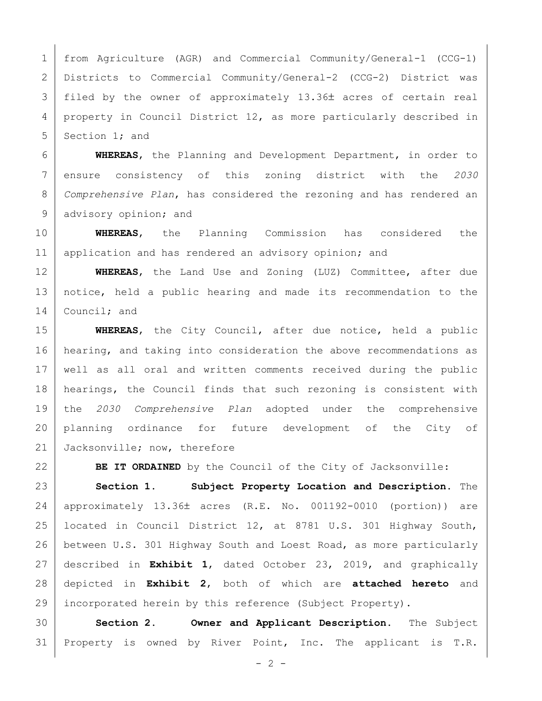from Agriculture (AGR) and Commercial Community/General-1 (CCG-1) Districts to Commercial Community/General-2 (CCG-2) District was filed by the owner of approximately 13.36 acres of certain real 4 property in Council District 12, as more particularly described in 5 Section 1; and

 **WHEREAS**, the Planning and Development Department, in order to ensure consistency of this zoning district with the *2030 Comprehensive Plan*, has considered the rezoning and has rendered an 9 advisory opinion; and

 **WHEREAS**, the Planning Commission has considered the 11 | application and has rendered an advisory opinion; and

 **WHEREAS**, the Land Use and Zoning (LUZ) Committee, after due notice, held a public hearing and made its recommendation to the 14 Council; and

 **WHEREAS**, the City Council, after due notice, held a public hearing, and taking into consideration the above recommendations as well as all oral and written comments received during the public hearings, the Council finds that such rezoning is consistent with the *2030 Comprehensive Plan* adopted under the comprehensive planning ordinance for future development of the City of 21 Jacksonville; now, therefore

**BE IT ORDAINED** by the Council of the City of Jacksonville:

 **Section 1. Subject Property Location and Description.** The approximately 13.36 acres (R.E. No. 001192-0010 (portion)) are located in Council District 12, at 8781 U.S. 301 Highway South, between U.S. 301 Highway South and Loest Road, as more particularly described in **Exhibit 1**, dated October 23, 2019, and graphically depicted in **Exhibit 2**, both of which are **attached hereto** and 29 | incorporated herein by this reference (Subject Property).

 **Section 2. Owner and Applicant Description.** The Subject Property is owned by River Point, Inc. The applicant is T.R.

 $- 2 -$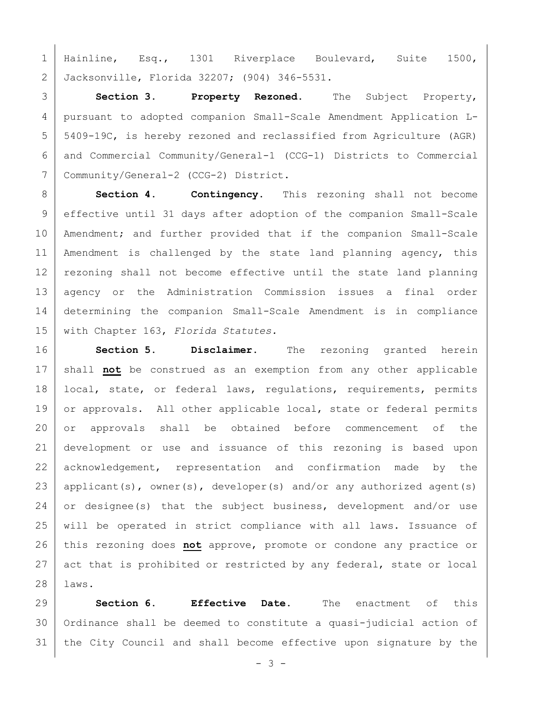1 Hainline, Esq., 1301 Riverplace Boulevard, Suite 1500, Jacksonville, Florida 32207; (904) 346-5531.

 **Section 3. Property Rezoned.** The Subject Property, pursuant to adopted companion Small-Scale Amendment Application L- 5409-19C, is hereby rezoned and reclassified from Agriculture (AGR) and Commercial Community/General-1 (CCG-1) Districts to Commercial Community/General-2 (CCG-2) District.

 **Section 4. Contingency.** This rezoning shall not become 9 | effective until 31 days after adoption of the companion Small-Scale 10 | Amendment; and further provided that if the companion Small-Scale 11 | Amendment is challenged by the state land planning agency, this 12 rezoning shall not become effective until the state land planning agency or the Administration Commission issues a final order determining the companion Small-Scale Amendment is in compliance with Chapter 163, *Florida Statutes.*

 **Section 5. Disclaimer.** The rezoning granted herein shall **not** be construed as an exemption from any other applicable 18 | local, state, or federal laws, regulations, requirements, permits 19 or approvals. All other applicable local, state or federal permits or approvals shall be obtained before commencement of the development or use and issuance of this rezoning is based upon 22 acknowledgement, representation and confirmation made by the 23 | applicant(s), owner(s), developer(s) and/or any authorized agent(s) 24 or designee(s) that the subject business, development and/or use will be operated in strict compliance with all laws. Issuance of this rezoning does **not** approve, promote or condone any practice or 27 act that is prohibited or restricted by any federal, state or local laws.

 **Section 6. Effective Date.** The enactment of this Ordinance shall be deemed to constitute a quasi-judicial action of the City Council and shall become effective upon signature by the

 $- 3 -$